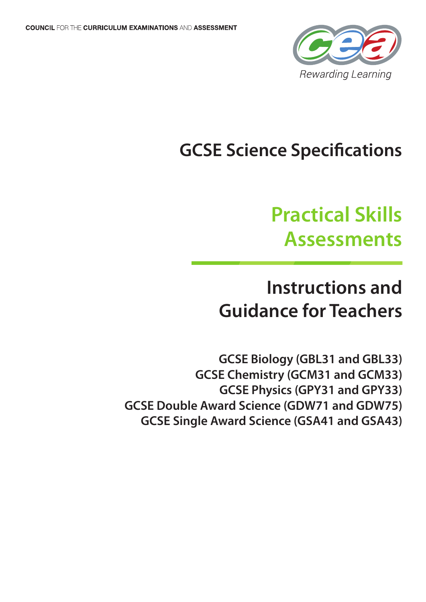

## **GCSE Science Specifications**

# **Practical Skills Assessments**

### **Instructions and Guidance for Teachers**

**GCSE Biology (GBL31 and GBL33) GCSE Chemistry (GCM31 and GCM33) GCSE Physics (GPY31 and GPY33) GCSE Double Award Science (GDW71 and GDW75) GCSE Single Award Science (GSA41 and GSA43)**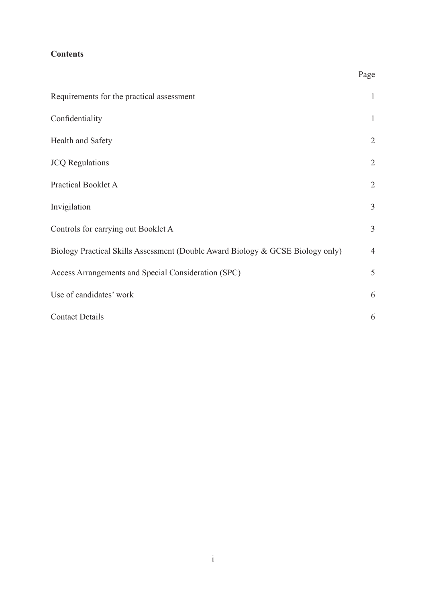### **Contents**

| ٧ |
|---|
|---|

| Requirements for the practical assessment                                      | $\mathbf{1}$   |
|--------------------------------------------------------------------------------|----------------|
| Confidentiality                                                                | $\mathbf{1}$   |
| Health and Safety                                                              | $\overline{2}$ |
| <b>JCQ</b> Regulations                                                         | $\overline{2}$ |
| Practical Booklet A                                                            | $\overline{2}$ |
| Invigilation                                                                   | 3              |
| Controls for carrying out Booklet A                                            | $\mathfrak{Z}$ |
| Biology Practical Skills Assessment (Double Award Biology & GCSE Biology only) | $\overline{4}$ |
| Access Arrangements and Special Consideration (SPC)                            | 5              |
| Use of candidates' work                                                        | 6              |
| <b>Contact Details</b>                                                         | 6              |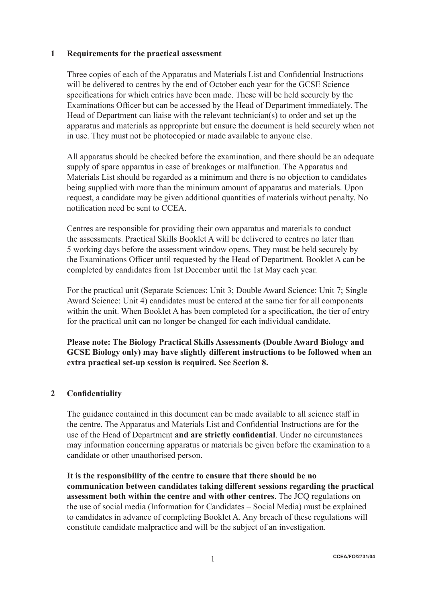#### **1 Requirements for the practical assessment**

 Three copies of each of the Apparatus and Materials List and Confidential Instructions will be delivered to centres by the end of October each year for the GCSE Science specifications for which entries have been made. These will be held securely by the Examinations Officer but can be accessed by the Head of Department immediately. The Head of Department can liaise with the relevant technician(s) to order and set up the apparatus and materials as appropriate but ensure the document is held securely when not in use. They must not be photocopied or made available to anyone else.

 All apparatus should be checked before the examination, and there should be an adequate supply of spare apparatus in case of breakages or malfunction. The Apparatus and Materials List should be regarded as a minimum and there is no objection to candidates being supplied with more than the minimum amount of apparatus and materials. Upon request, a candidate may be given additional quantities of materials without penalty. No notification need be sent to CCEA.

 Centres are responsible for providing their own apparatus and materials to conduct the assessments. Practical Skills Booklet A will be delivered to centres no later than 5 working days before the assessment window opens. They must be held securely by the Examinations Officer until requested by the Head of Department. Booklet A can be completed by candidates from 1st December until the 1st May each year.

 For the practical unit (Separate Sciences: Unit 3; Double Award Science: Unit 7; Single Award Science: Unit 4) candidates must be entered at the same tier for all components within the unit. When Booklet A has been completed for a specification, the tier of entry for the practical unit can no longer be changed for each individual candidate.

**Please note: The Biology Practical Skills Assessments (Double Award Biology and GCSE Biology only) may have slightly different instructions to be followed when an extra practical set-up session is required. See Section 8.**

#### **2 Confidentiality**

 The guidance contained in this document can be made available to all science staff in the centre. The Apparatus and Materials List and Confidential Instructions are for the use of the Head of Department **and are strictly confidential**. Under no circumstances may information concerning apparatus or materials be given before the examination to a candidate or other unauthorised person.

**It is the responsibility of the centre to ensure that there should be no communication between candidates taking different sessions regarding the practical assessment both within the centre and with other centres**. The JCQ regulations on the use of social media (Information for Candidates – Social Media) must be explained to candidates in advance of completing Booklet A. Any breach of these regulations will constitute candidate malpractice and will be the subject of an investigation.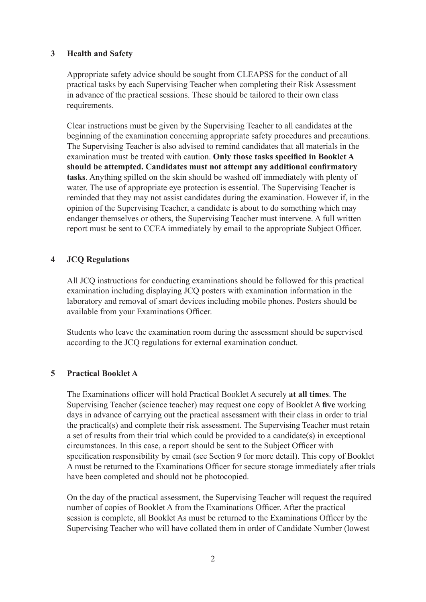#### **3 Health and Safety**

 Appropriate safety advice should be sought from CLEAPSS for the conduct of all practical tasks by each Supervising Teacher when completing their Risk Assessment in advance of the practical sessions. These should be tailored to their own class requirements.

 Clear instructions must be given by the Supervising Teacher to all candidates at the beginning of the examination concerning appropriate safety procedures and precautions. The Supervising Teacher is also advised to remind candidates that all materials in the examination must be treated with caution. **Only those tasks specified in Booklet A should be attempted. Candidates must not attempt any additional confirmatory tasks**. Anything spilled on the skin should be washed off immediately with plenty of water. The use of appropriate eye protection is essential. The Supervising Teacher is reminded that they may not assist candidates during the examination. However if, in the opinion of the Supervising Teacher, a candidate is about to do something which may endanger themselves or others, the Supervising Teacher must intervene. A full written report must be sent to CCEA immediately by email to the appropriate Subject Officer.

#### **4 JCQ Regulations**

 All JCQ instructions for conducting examinations should be followed for this practical examination including displaying JCQ posters with examination information in the laboratory and removal of smart devices including mobile phones. Posters should be available from your Examinations Officer.

 Students who leave the examination room during the assessment should be supervised according to the JCQ regulations for external examination conduct.

#### **5 Practical Booklet A**

 The Examinations officer will hold Practical Booklet A securely **at all times**. The Supervising Teacher (science teacher) may request one copy of Booklet A **five** working days in advance of carrying out the practical assessment with their class in order to trial the practical(s) and complete their risk assessment. The Supervising Teacher must retain a set of results from their trial which could be provided to a candidate(s) in exceptional circumstances. In this case, a report should be sent to the Subject Officer with specification responsibility by email (see Section 9 for more detail). This copy of Booklet A must be returned to the Examinations Officer for secure storage immediately after trials have been completed and should not be photocopied.

 On the day of the practical assessment, the Supervising Teacher will request the required number of copies of Booklet A from the Examinations Officer. After the practical session is complete, all Booklet As must be returned to the Examinations Officer by the Supervising Teacher who will have collated them in order of Candidate Number (lowest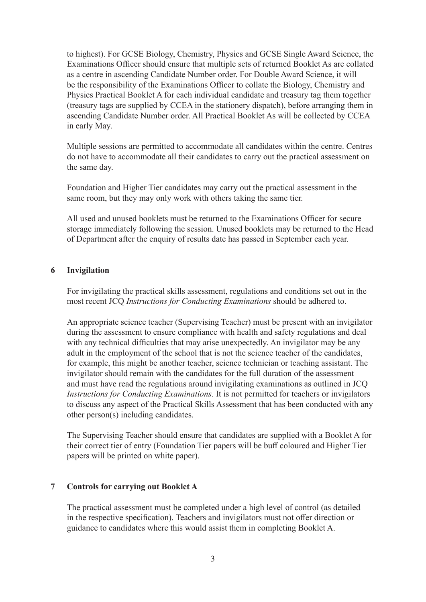to highest). For GCSE Biology, Chemistry, Physics and GCSE Single Award Science, the Examinations Officer should ensure that multiple sets of returned Booklet As are collated as a centre in ascending Candidate Number order. For Double Award Science, it will be the responsibility of the Examinations Officer to collate the Biology, Chemistry and Physics Practical Booklet A for each individual candidate and treasury tag them together (treasury tags are supplied by CCEA in the stationery dispatch), before arranging them in ascending Candidate Number order. All Practical Booklet As will be collected by CCEA in early May.

 Multiple sessions are permitted to accommodate all candidates within the centre. Centres do not have to accommodate all their candidates to carry out the practical assessment on the same day.

 Foundation and Higher Tier candidates may carry out the practical assessment in the same room, but they may only work with others taking the same tier.

 All used and unused booklets must be returned to the Examinations Officer for secure storage immediately following the session. Unused booklets may be returned to the Head of Department after the enquiry of results date has passed in September each year.

#### **6 Invigilation**

 For invigilating the practical skills assessment, regulations and conditions set out in the most recent JCQ *Instructions for Conducting Examinations* should be adhered to.

 An appropriate science teacher (Supervising Teacher) must be present with an invigilator during the assessment to ensure compliance with health and safety regulations and deal with any technical difficulties that may arise unexpectedly. An invigilator may be any adult in the employment of the school that is not the science teacher of the candidates, for example, this might be another teacher, science technician or teaching assistant. The invigilator should remain with the candidates for the full duration of the assessment and must have read the regulations around invigilating examinations as outlined in JCQ *Instructions for Conducting Examinations*. It is not permitted for teachers or invigilators to discuss any aspect of the Practical Skills Assessment that has been conducted with any other person(s) including candidates.

 The Supervising Teacher should ensure that candidates are supplied with a Booklet A for their correct tier of entry (Foundation Tier papers will be buff coloured and Higher Tier papers will be printed on white paper).

#### **7 Controls for carrying out Booklet A**

 The practical assessment must be completed under a high level of control (as detailed in the respective specification). Teachers and invigilators must not offer direction or guidance to candidates where this would assist them in completing Booklet A.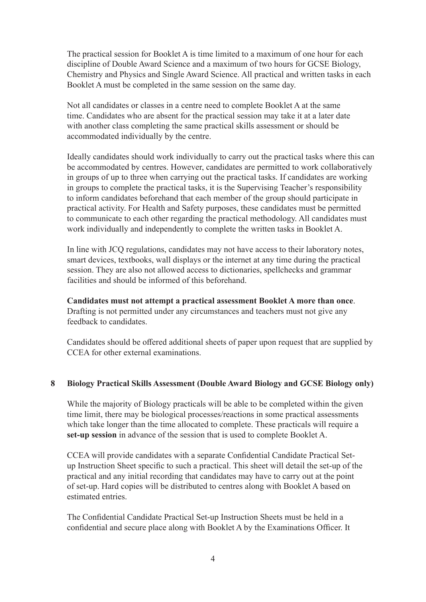The practical session for Booklet A is time limited to a maximum of one hour for each discipline of Double Award Science and a maximum of two hours for GCSE Biology, Chemistry and Physics and Single Award Science. All practical and written tasks in each Booklet A must be completed in the same session on the same day.

 Not all candidates or classes in a centre need to complete Booklet A at the same time. Candidates who are absent for the practical session may take it at a later date with another class completing the same practical skills assessment or should be accommodated individually by the centre.

Ideally candidates should work individually to carry out the practical tasks where this can be accommodated by centres. However, candidates are permitted to work collaboratively in groups of up to three when carrying out the practical tasks. If candidates are working in groups to complete the practical tasks, it is the Supervising Teacher's responsibility to inform candidates beforehand that each member of the group should participate in practical activity. For Health and Safety purposes, these candidates must be permitted to communicate to each other regarding the practical methodology. All candidates must work individually and independently to complete the written tasks in Booklet A.

 In line with JCQ regulations, candidates may not have access to their laboratory notes, smart devices, textbooks, wall displays or the internet at any time during the practical session. They are also not allowed access to dictionaries, spellchecks and grammar facilities and should be informed of this beforehand.

**Candidates must not attempt a practical assessment Booklet A more than once**. Drafting is not permitted under any circumstances and teachers must not give any feedback to candidates.

 Candidates should be offered additional sheets of paper upon request that are supplied by CCEA for other external examinations.

#### **8 Biology Practical Skills Assessment (Double Award Biology and GCSE Biology only)**

 While the majority of Biology practicals will be able to be completed within the given time limit, there may be biological processes/reactions in some practical assessments which take longer than the time allocated to complete. These practicals will require a **set-up session** in advance of the session that is used to complete Booklet A.

 CCEA will provide candidates with a separate Confidential Candidate Practical Setup Instruction Sheet specific to such a practical. This sheet will detail the set-up of the practical and any initial recording that candidates may have to carry out at the point of set-up. Hard copies will be distributed to centres along with Booklet A based on estimated entries.

 The Confidential Candidate Practical Set-up Instruction Sheets must be held in a confidential and secure place along with Booklet A by the Examinations Officer. It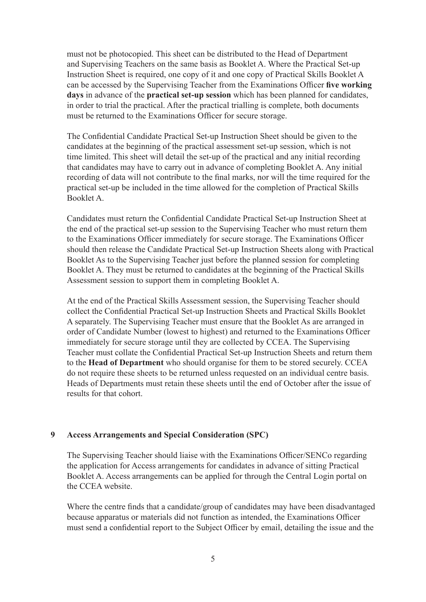must not be photocopied. This sheet can be distributed to the Head of Department and Supervising Teachers on the same basis as Booklet A. Where the Practical Set-up Instruction Sheet is required, one copy of it and one copy of Practical Skills Booklet A can be accessed by the Supervising Teacher from the Examinations Officer **five working days** in advance of the **practical set-up session** which has been planned for candidates, in order to trial the practical. After the practical trialling is complete, both documents must be returned to the Examinations Officer for secure storage.

 The Confidential Candidate Practical Set-up Instruction Sheet should be given to the candidates at the beginning of the practical assessment set-up session, which is not time limited. This sheet will detail the set-up of the practical and any initial recording that candidates may have to carry out in advance of completing Booklet A. Any initial recording of data will not contribute to the final marks, nor will the time required for the practical set-up be included in the time allowed for the completion of Practical Skills Booklet A.

 Candidates must return the Confidential Candidate Practical Set-up Instruction Sheet at the end of the practical set-up session to the Supervising Teacher who must return them to the Examinations Officer immediately for secure storage. The Examinations Officer should then release the Candidate Practical Set-up Instruction Sheets along with Practical Booklet As to the Supervising Teacher just before the planned session for completing Booklet A. They must be returned to candidates at the beginning of the Practical Skills Assessment session to support them in completing Booklet A.

 At the end of the Practical Skills Assessment session, the Supervising Teacher should collect the Confidential Practical Set-up Instruction Sheets and Practical Skills Booklet A separately. The Supervising Teacher must ensure that the Booklet As are arranged in order of Candidate Number (lowest to highest) and returned to the Examinations Officer immediately for secure storage until they are collected by CCEA. The Supervising Teacher must collate the Confidential Practical Set-up Instruction Sheets and return them to the **Head of Department** who should organise for them to be stored securely. CCEA do not require these sheets to be returned unless requested on an individual centre basis. Heads of Departments must retain these sheets until the end of October after the issue of results for that cohort.

#### **9 Access Arrangements and Special Consideration (SPC)**

 The Supervising Teacher should liaise with the Examinations Officer/SENCo regarding the application for Access arrangements for candidates in advance of sitting Practical Booklet A. Access arrangements can be applied for through the Central Login portal on the CCEA website.

 Where the centre finds that a candidate/group of candidates may have been disadvantaged because apparatus or materials did not function as intended, the Examinations Officer must send a confidential report to the Subject Officer by email, detailing the issue and the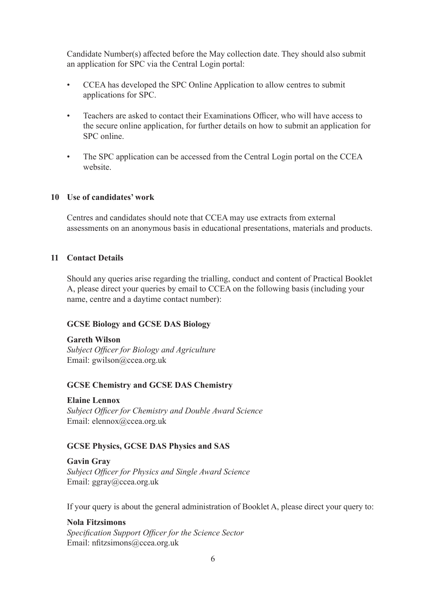Candidate Number(s) affected before the May collection date. They should also submit an application for SPC via the Central Login portal:

- CCEA has developed the SPC Online Application to allow centres to submit applications for SPC.
- Teachers are asked to contact their Examinations Officer, who will have access to the secure online application, for further details on how to submit an application for SPC online.
- The SPC application can be accessed from the Central Login portal on the CCEA website.

#### **10 Use of candidates' work**

 Centres and candidates should note that CCEA may use extracts from external assessments on an anonymous basis in educational presentations, materials and products.

#### **11 Contact Details**

 Should any queries arise regarding the trialling, conduct and content of Practical Booklet A, please direct your queries by email to CCEA on the following basis (including your name, centre and a daytime contact number):

#### **GCSE Biology and GCSE DAS Biology**

#### **Gareth Wilson**  *Subject Officer for Biology and Agriculture* Email: gwilson@ccea.org.uk

#### **GCSE Chemistry and GCSE DAS Chemistry**

#### **Elaine Lennox**

 *Subject Officer for Chemistry and Double Award Science* Email: elennox@ccea.org.uk

#### **GCSE Physics, GCSE DAS Physics and SAS**

**Gavin Gray**  *Subject Officer for Physics and Single Award Science* Email: ggray@ccea.org.uk

 If your query is about the general administration of Booklet A, please direct your query to:

#### **Nola Fitzsimons**

 *Specification Support Officer for the Science Sector* Email: nfitzsimons@ccea.org.uk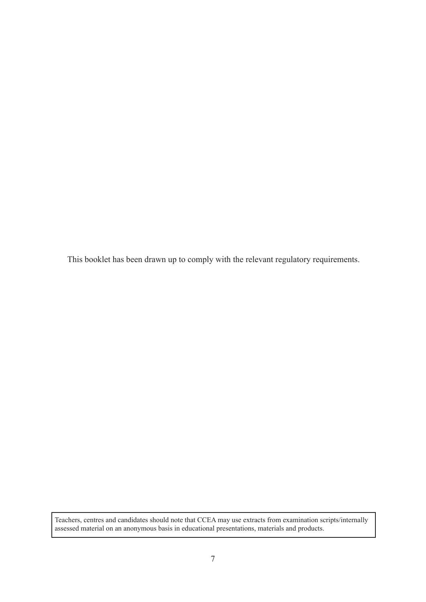This booklet has been drawn up to comply with the relevant regulatory requirements.

Teachers, centres and candidates should note that CCEA may use extracts from examination scripts/internally assessed material on an anonymous basis in educational presentations, materials and products.